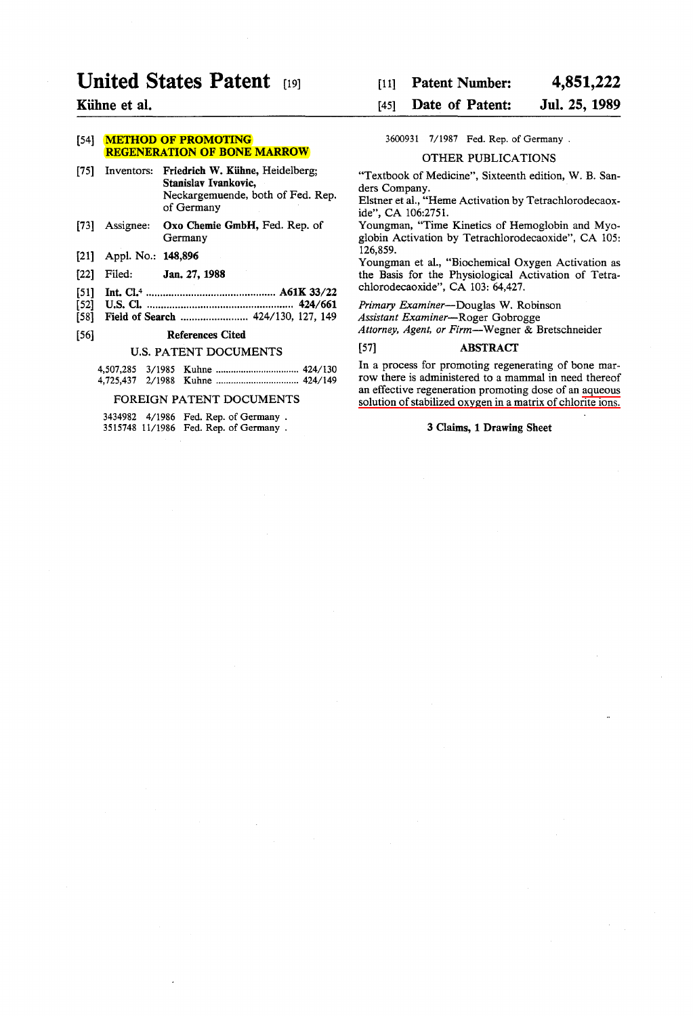# **United States Patent**

# Kühne et al.

# [54] **METHOD OF PROMOTING** REGENERATION OF BONE MARROW

- [75] Inventors: Friedrich W. Kühne, Heidelberg; Stanislav Ivankovic, Neckargemuende, both of Fed. Rep. of Germany
- [73] Assignee: Oxo Chemie GmbH, Fed. Rep. of Germany
- [21] Appl. No.: 148,896
- [22] Filed: Jan. 27, 1988
- [51] Int. Cl.4 .............................................. A61K 33/22
- [52] U.S. Cl •.................................................... 424/661
- [58] Field of Search ........................ 424/130, 127, 149

# [56] References Cited

# U.S. PATENT DOCUMENTS

#### FOREIGN PATENT DOCUMENTS

|  | 3434982 4/1986 Fed. Rep. of Germany.  |
|--|---------------------------------------|
|  | 3515748 11/1986 Fed. Rep. of Germany. |

#### [11] Patent Number: 4,851,222

#### [45] Date of Patent: Jul. 25, 1989

3600931 7/1987 Fed. Rep. of Germany.

#### OTHER PUBLICATIONS

"Textbook of Medicine", Sixteenth edition, W. B. Sanders Company.

Elstner et al., "Heme Activation by Tetrachlorodecaoxide", CA 106:2751.

Youngman, "Time Kinetics of Hemoglobin and Myoglobin Activation by Tetrachlorodecaoxide", CA 105: 126,859.

Youngman et al., "Biochemical Oxygen Activation as the Basis for the Physiological Activation of Tetrachlorodecaoxide", CA 103: 64,427.

*Primary Examiner-Douglas* W. Robinson

*Assistant Examiner-Roger* Gobrogge

*Attorney, Agent, or Firm-Wegner* & Bretschneider

# [57] ABSTRACf

In a process for promoting regenerating of bone marrow there is administered to a mammal in need thereof an effective regeneration promoting dose of an aqueous solution of stabilized oxygen in a matrix of chlorite ions.

# 3 Claims, 1 Drawing Sheet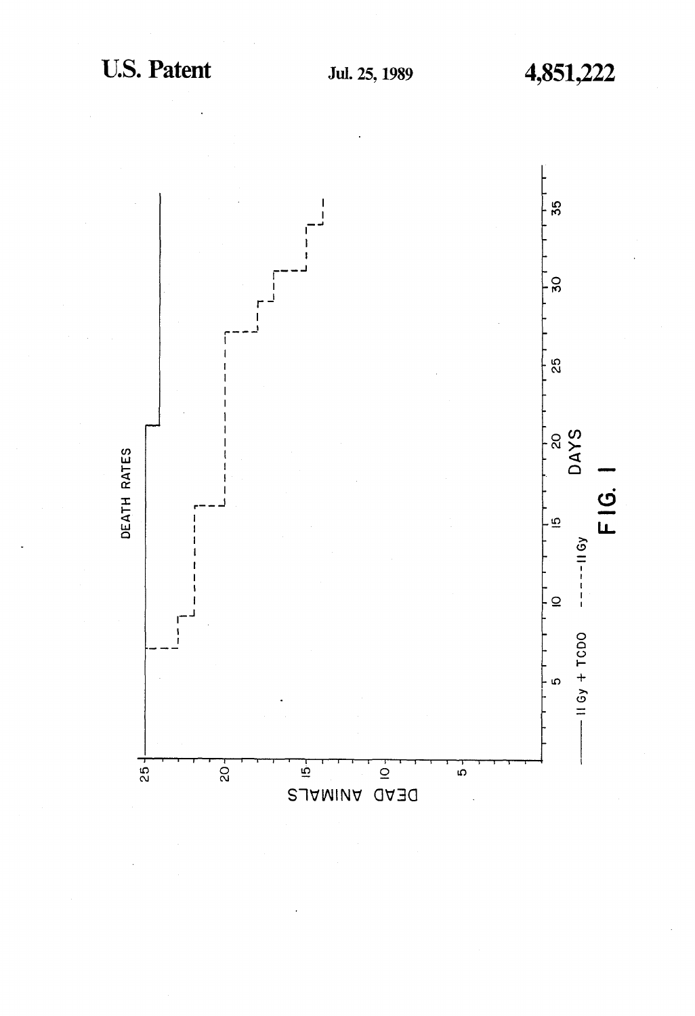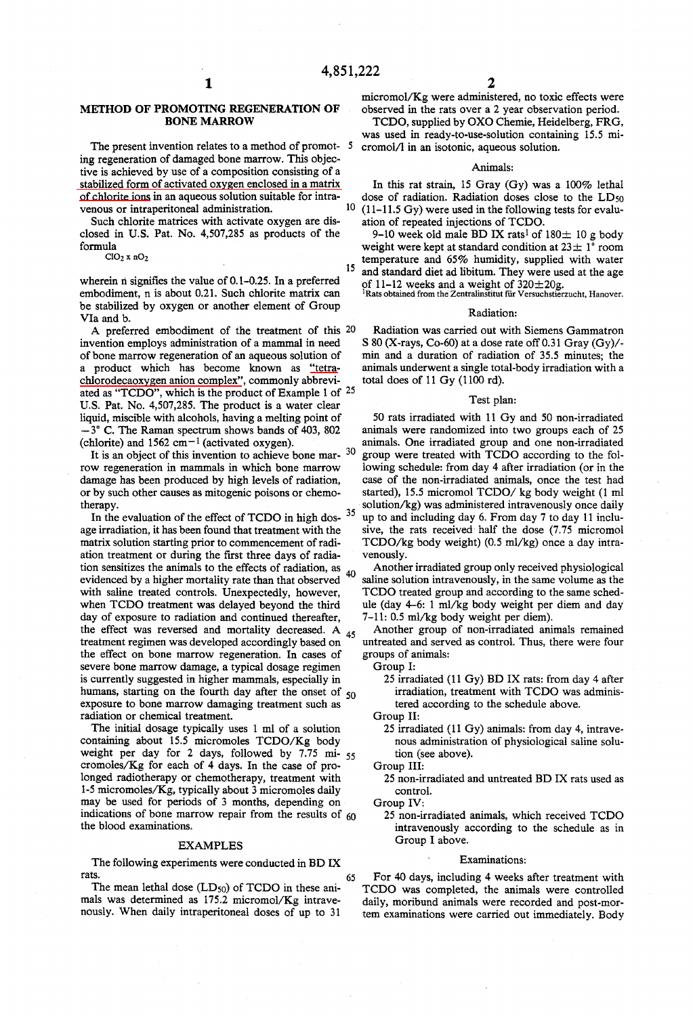## METHOD OF PROMOTING REGENERATION OF **BONE MARROW**

The present invention relates to a method of promot- 5 ing regeneration of damaged bone marrow. This objective is achieved by use of a composition consisting of a stabilized form of activated oxygen enclosed in a matrix of chlorite ions in an aqueous solution suitable for intravenous or intraperitoneal administration.

Such chlorite matrices with activate oxygen are disclosed in U.S. Pat. No. 4,507,285 as products of the formula

 $ClO<sub>2</sub>$  x  $nO<sub>2</sub>$ 

wherein  $n$  signifies the value of 0.1-0.25. In a preferred embodiment, n is about 0.21. Such chlorite matrix can be stabilized by oxygen or another element of Group Vla and b.

A preferred embodiment of the treatment of this 20 invention employs administration of a mammal in need of bone marrow regeneration of an aqueous solution of a product which has become known as "tetrachlorodecaoxygen anion complex", commonly abbreviated as "TCDO", which is the product of Example 1 of  $25$ U.S. Pat. No. 4,507,285. The product is a water clear liquid, miscible with alcohols, having a melting point of  $-3^{\circ}$  C. The Raman spectrum shows bands of 403, 802 (chlorite) and 1562 cm<sup> $-1$ </sup> (activated oxygen).

It is an object of this invention to achieve bone mar- 30 row regeneration in mammals in which bone marrow damage has been produced by high levels of radiation, or by such other causes as mitogenic poisons or chemotherapy.

In the evaluation of the effect of TCDO in high dos- 35 age irradiation, it has been found that treatment with the matrix solution startíng prior to commencement of radiation treatment or during the frrst three days of radiation sensitizes the animals to the effects of radiation, as  $_{40}$ evidenced by a higher mortality rate than that observed with saline treated controls. Unexpectedly, however, when TCDO treatment was delayed beyond the third day of exposure to radiation and continued thereafter, the effect was reversed and mortality decreased. A  $_{45}$ treatment regimen was developed accordingly based on the effect on bone marrow regeneration. In cases of severe bone marrow damage, a typical dosage regimen is currently suggested in higher mammals, especially in humans, starting on the fourth day after the onset of 50 exposure to bone marrow damaging treatment such as radiation or chemical treatment.

The initial dosage typically uses 1 ml of a solution containing about 15.5 micromoles TCDO/Kg body weight per day for 2 days, followed by 7.75 mi- 55 cromoles/Kg for each of 4 days. In the case of prolonged radiotherapy or chemotherapy, treatment with 1-5 micromoles/Kg, typically about 3 micromoles daily may be used for periods of 3 months, depending on indications of bone marrow repair from the results of  $60$ the blood examinations.

#### EXAMPLES

The following experiments were conducted in BD IX rats. 65

The mean lethal dose  $(LD_{50})$  of TCDO in these animals was determined as 175.2 micromol/Kg intravenously. When daily intraperitoneal doses of up to 31

micromol/Kg were administered, no toxic effects were observed in the rats over a 2 year observation period.

TCDO, supplied by OXO Chemie, Heidelberg, FRG, was used in ready-to-use-solution containing 15.5 micromol/l in an isotonic, aqueous solution.

#### Animals:

In this rat strain, 15 Gray (Gy) was a 100% lethal dose of radiation. Radiation doses close to the LD<sub>50</sub>  $10$  (11-11.5 Gy) were used in the following tests for evaluation of repeated injections of TCDO.

9-10 week old male BD IX rats<sup>1</sup> of 180 $\pm$  10 g body weight were kept at standard condition at  $23 \pm 1$ ° room temperature and 65% humidity, supplied with water <sup>15</sup> and standard diet ad libitum. They were used at the age

of 11-12 weeks and a weight of 320±20g.<br><sup>1</sup> Rats obtained from the Zentralinstitut für Versuchstierzucht, Hanover.

#### Radiation:

Radiation was carried out with Siemens Gammatron S 80 (X-rays, Co-60) at a dose rate off 0.31 Gray (Gy)/min and a duration of radiation of 35.5 minutes; the animals underwent a single total-body irradiation with a total does of 11 Gy (1100 rd).

#### Test plan:

50 rats irradiated with 11 Gy and 50 non-irradiated animals were randomized into two groups each of 25 animals. One irradiated group and one non-irradiated group were treated with TCDO according to the following schedule: from day 4 after irradiation (or in the case of the non-irradiated animals, once the test had started), 15.5 micromol TCDO/ kg body weight (1 mI solution/kg) was administered intravenously once daily up to and including day 6. From day 7 to day 11 inclusive, the rats received half the dose (7.75 micromol  $TCDO/kg$  body weight)  $(0.5 \text{ ml/kg})$  once a day intravenously.

Another irradiated group only received physiological saline solution intravenously, in the same volume as the TCDO treated group and according to the same schedule (day 4-6: 1 ml/kg body weight per diem and day 7-11: 0.5 ml/kg body weight per diem).

Another group of non-irradiated animals remained untreated and served as control. Thus, there were four groups of animals:

- Group I:
	- 25 irradiated (11 Gy) BD IX rats: from day 4 after irradiation, treatment with TCDO was administered according to the schedule aboye.

Group II:

25 irradiated (11 Gy) animals: from day 4, intravenous administration of physiological saline solution (see aboye).

Group IU:

25 non-irradiated and untreated BD IX rats used as control.

Group IV:

25 non-irradiated animals, which received TCDO intravenously according to the schedule as in Group I aboye.

#### Examinations:

For 40 days, including 4 weeks after treatment with TCDO was completed, the animals were controlled dai1y, moribund animals were recorded and post-mortem examinations were carried out immediately. Body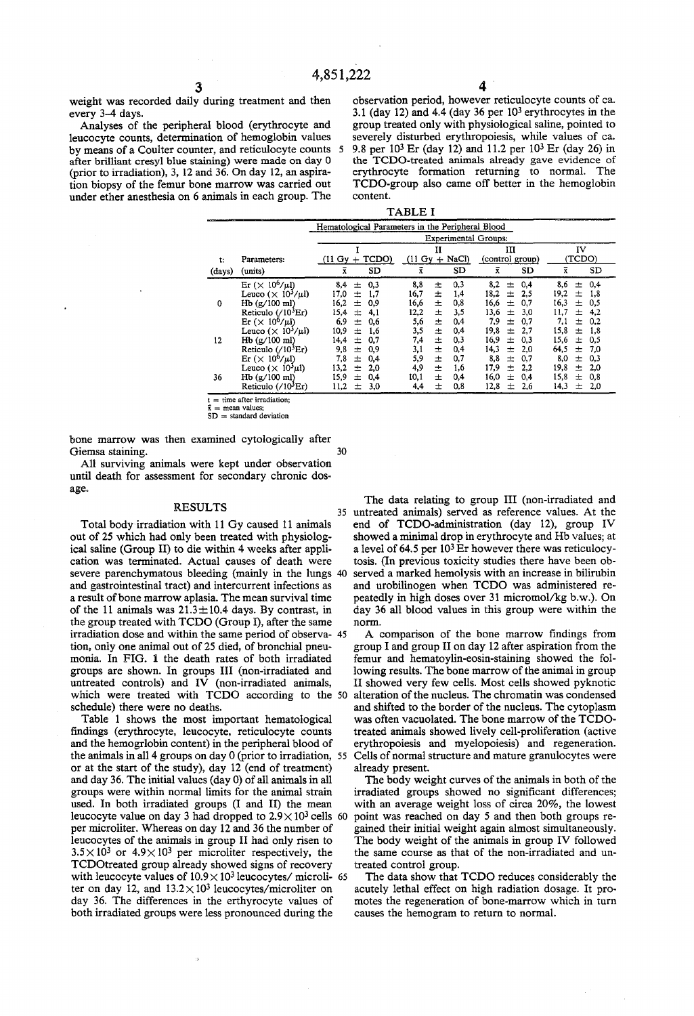weight was recorded daily during treatment and then every 3-4 days.

Analyses of the peripheral blood (erythrocyte and leucocyte counts, determination of hemoglobin values by means of a Coulter counter, and reticulocyte counts after brilliant cresyl blue staining) were made on day O (prior to irradiation), 3, 12 and 36. On day 12, an aspiration biopsy of the femur bone marrow was carried out under ether anesthesia on 6 animals in each group. The

 $3 \hspace{2.5cm} 4$ observation period, however reticulocyte counts of ca. 3.1 (day 12) and 4.4 (day 36 per  $10<sup>3</sup>$  erythrocytes in the group treated on1y with physiological saline, pointed to severely disturbed erythropoiesis, whlle values of ca. 5 9.8 per 103 Er (day 12) and 11.2 per 103 Er (day 26) in the TCDO-treated animals already gave evidence of erythrocyte formation returning to normal. The TCDO-group also came off better in the hemoglobin contento

| u<br>.n. |  |
|----------|--|
|----------|--|

|        |                                                   | Hematological Parameters in the Peripheral Blood |                                |                      |                        |  |  |  |
|--------|---------------------------------------------------|--------------------------------------------------|--------------------------------|----------------------|------------------------|--|--|--|
|        |                                                   | <b>Experimental Groups:</b>                      |                                |                      |                        |  |  |  |
|        |                                                   |                                                  | П                              | ш                    | IV                     |  |  |  |
| t:     | Parameters:                                       | TCDO)<br>$(11 \text{ Gy})$                       | $+$ NaCl)<br>$(11 \text{ Gv})$ | (control group)      | (TCDO)                 |  |  |  |
| (days) | (units)                                           | $\bar{x}$<br><b>SD</b>                           | SD<br>ĩ                        | ĩ<br>SD              | SD                     |  |  |  |
|        | Er $(\times 10^6/\mu l)$                          | 8,4<br>0,3<br>土                                  | 8,8<br>0,3<br>土                | 8.2<br>0,4<br>士      | 0,4<br>8,6<br>土        |  |  |  |
|        | Leuco $(\times 10^3/\mu l)$                       | 17,0<br>1,7<br>士                                 | 16,7<br>1,4<br>士               | 18.2<br>2,5<br>士     | 19,2<br>$\pm$<br>- 1.8 |  |  |  |
| 0      | Hb (g/100 ml)                                     | 16.2<br>$\mathrm{+}$<br>0.9                      | 16,6<br>0,8<br>圡               | 16,6<br>0,7<br>士     | 16,3<br>0,5<br>$\pm$   |  |  |  |
|        | Reticulo $\frac{710^3 E}{r}$                      | 15,4<br>4.1<br>士                                 | 3,5<br>12,2<br>土               | 13,6<br>3,0<br>士     | 11.7<br>4,2<br>士       |  |  |  |
|        | $Er \ (\times\ 10^6/\mu l)$                       | 6.9<br>0.6<br>士                                  | 5,6<br>0,4<br>土                | 7,9<br>0,7<br>士      | 7,1<br>0,2<br>士        |  |  |  |
|        | Leuco $(\times 10^3/\mu l)$                       | 1,6<br>10.9<br>士                                 | 3,5<br>0,4<br>土                | 19,8<br>2,7<br>$+$   | 15,8<br>1,8<br>士       |  |  |  |
| 12     | $Hb$ (g/100 ml)                                   | 14.4<br>0,7<br>圡                                 | 士<br>0.3<br>7,4                | 16.9<br>0,3<br>$\pm$ | 15.6<br>0,5<br>$\pm$   |  |  |  |
|        | Reticulo $\frac{703}{E}$ r)                       | 9,8<br>0,9<br>士                                  | 3,1<br>士<br>0,4                | 14,3<br>2.0<br>士     | 64.5<br>7,0<br>士       |  |  |  |
|        | $\text{Er}$ ( $\times$ 10 <sup>6</sup> / $\mu$ l) | 7,8<br>土<br>0,4                                  | 5,9<br>0,7<br>圡                | 8.8<br>0.7<br>士      | 8.0<br>$+$<br>0,3      |  |  |  |
|        | Leuco ( $\times$ 10 <sup>3</sup> $\mu$ l)         | 13,2<br>2.0<br>$^{+}$                            | 4,9<br>1.6<br>士                | 17.9<br>2.2<br>$+$   | 19,8<br>$\pm$<br>2,0   |  |  |  |
| 36     | Hb (g/100 ml)                                     | 15.9<br>$\pm$<br>0.4                             | 10.1<br>0,4<br>士               | 16.0<br>士<br>0,4     | 15,8<br>0,8<br>士       |  |  |  |
|        | Reticulo $(710^3$ Er)                             | 3,0<br>11,2<br>$\pm$                             | 0,8<br>4,4<br>士                | 12,8<br>士<br>2.6     | 14,3<br>2,0<br>$\pm$   |  |  |  |

 $=$  time after irradiation:  $=$  mean values:

**SD = standard deviation** 

bone marrow was then examined cytologically after Giemsa staining. 30

AH surviving animals were kept under observation until death for assessment for secondary chronic dosage.

Total bodyirradiation with 11 Gy caused 11 animals out of 25 which had only been treated with physiological saline (Group 11) to die within 4 weeks after application was terminated. Actual causes of death were severe parenchymatous bleeding (mainly in the lungs 40 and gastrointestinal tract) and intercurrent infections as a result of bone marrow aplasia. The mean survival time of the 11 animals was  $21.3 \pm 10.4$  days. By contrast, in the group treated with TCDO (Group 1), after the same irradiation dose and within the sarne period of observa- 45 tion, on1y one animal out of 25 died, of bronchial pneumonia. In FIG. 1 the death rates of both irradiated groups are shown. In groups 111 (non-irradiated and untreated controls) and IV (non-irradiated animals, which were treated with TCDO according to the 50 schedule) there were no deaths.

Table 1 shows the most important hematological findings (erythrocyte, leucocyte, reticulocyte counts and the hemogrlobin content) in the peripheral blood of the animals in all 4 groups on day O (prior to irradiation, 55 or at the start of the study), day 12 (end of treatment) and day 36. The initial values (day O) of all animals in all groups were within normal limits for the animal strain used. In both irradiated groups (1 and 11) the mean leucocyte value on day 3 had dropped to  $2.9 \times 10^3$  cells 60 per microliter. Whereas on day 12 and 36 the number of leucocytes of the animals in group 11 had only risen to  $3.5 \times 10^3$  or  $4.9 \times 10^3$  per microliter respectively, the TCDOtreated group already showed signs of recovery with leucocyte values of  $10.9 \times 10^3$  leucocytes/ microli- 65 ter on day 12, and  $13.2 \times 10^3$  leucocytes/microliter on day 36. The differences in the erthyrocyte values of both irradiated groups were less pronounced during the

The data relating to group III (non-irradiated and RESULTS 35 untreated animals) served as reference values. At the end of TCDO-administration (day 12), group IV showed a minimal drop in erythrocyte and Hb values; at a level of 64.5 per 10<sup>3</sup> Er however there was reticulocytosis. (In previous toxicity studies there have been observed a marked hemolysis with an increase in bilirubin and urobilinogen when TCDO was administered repeatedly in high doses over 31 micromol/kg b.w.). On day 36 all blood values in this group were within the norm.

> A comparison of the bone marrow findings from group I and group 11 on day 12 after aspiration from the femur and hematoylin-eosin-staining showed the following results. The bone marrow of the animal in group 11 showed very few cells. Most cells showed pyknotic alteration of the nucleus. The chromatin was condensed and shifted to the border of the nucleus. The cytoplasm was often vacuolated. The bone marrow of the TCDOtreated animals showed lively cell-proliferation (active erythropoiesis and myelopoiesis) and regeneration. Cells of normal structure and mature granulocytes were already present.

> The body weight curves of the animals in both of the irradiated groups showed no significant differences; with an average weight loss of circa 20%, the lowest point was reached on day 5 and then both groups regained their initial weight again almost simultaneously. The body weight of the animals in group IV followed the sarne course as that of the non-irradiated and untreated control group.

> The data show that TCDO reduces considerably the acutely lethal effect on high radiation dosage. It promotes the regeneration of bone-marrow which in turn causes the hemogram to return to normal.